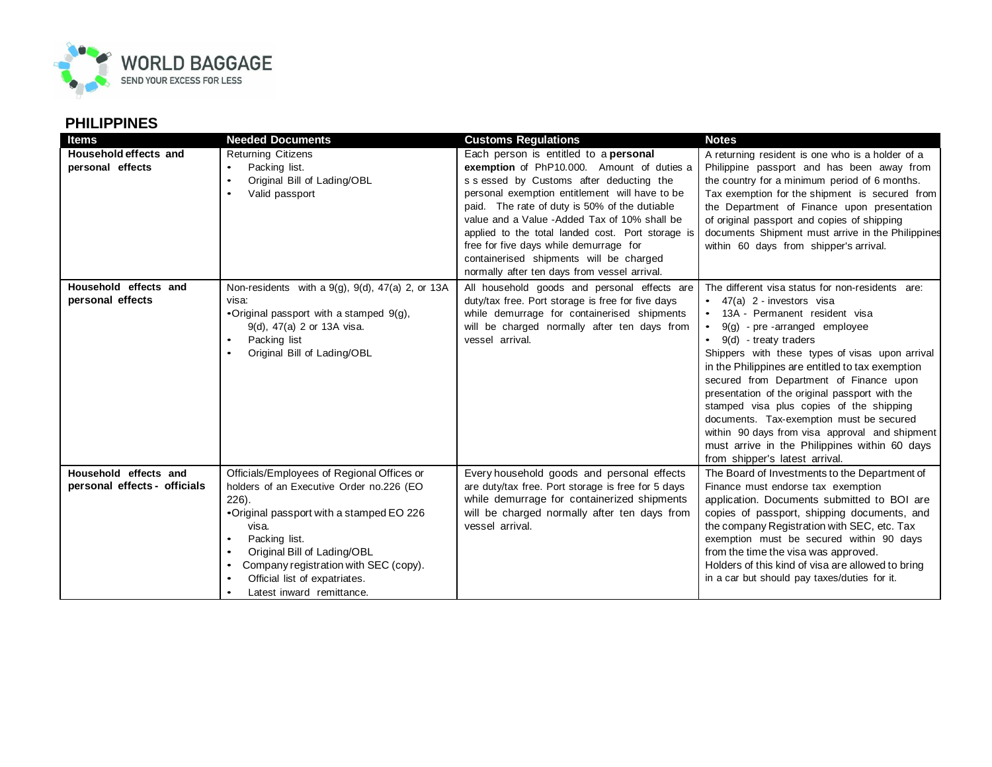

## **PHILIPPINES**

| Items                        | <b>Needed Documents</b>                                  | <b>Customs Regulations</b>                         | <b>Notes</b>                                      |
|------------------------------|----------------------------------------------------------|----------------------------------------------------|---------------------------------------------------|
| Household effects and        | Returning Citizens                                       | Each person is entitled to a <b>personal</b>       | A returning resident is one who is a holder of a  |
| personal effects             | Packing list.<br>$\bullet$                               | exemption of PhP10.000. Amount of duties a         | Philippine passport and has been away from        |
|                              | Original Bill of Lading/OBL                              | s s essed by Customs after deducting the           | the country for a minimum period of 6 months.     |
|                              | Valid passport<br>٠                                      | personal exemption entitlement will have to be     | Tax exemption for the shipment is secured from    |
|                              |                                                          | paid. The rate of duty is 50% of the dutiable      | the Department of Finance upon presentation       |
|                              |                                                          | value and a Value - Added Tax of 10% shall be      | of original passport and copies of shipping       |
|                              |                                                          | applied to the total landed cost. Port storage is  | documents Shipment must arrive in the Philippines |
|                              |                                                          | free for five days while demurrage for             | within 60 days from shipper's arrival.            |
|                              |                                                          | containerised shipments will be charged            |                                                   |
|                              |                                                          | normally after ten days from vessel arrival.       |                                                   |
| Household effects and        | Non-residents with a $9(g)$ , $9(d)$ , $47(a)$ 2, or 13A | All household goods and personal effects are       | The different visa status for non-residents are:  |
| personal effects             | visa:                                                    | duty/tax free. Port storage is free for five days  | $\bullet$ 47(a) 2 - investors visa                |
|                              | •Original passport with a stamped 9(g),                  | while demurrage for containerised shipments        | • 13A - Permanent resident visa                   |
|                              | 9(d), 47(a) 2 or 13A visa.                               | will be charged normally after ten days from       | $9(g)$ - pre-arranged employee                    |
|                              | Packing list                                             | vessel arrival.                                    | 9(d) - treaty traders                             |
|                              | Original Bill of Lading/OBL                              |                                                    | Shippers with these types of visas upon arrival   |
|                              |                                                          |                                                    | in the Philippines are entitled to tax exemption  |
|                              |                                                          |                                                    | secured from Department of Finance upon           |
|                              |                                                          |                                                    | presentation of the original passport with the    |
|                              |                                                          |                                                    | stamped visa plus copies of the shipping          |
|                              |                                                          |                                                    | documents. Tax-exemption must be secured          |
|                              |                                                          |                                                    | within 90 days from visa approval and shipment    |
|                              |                                                          |                                                    | must arrive in the Philippines within 60 days     |
|                              |                                                          |                                                    | from shipper's latest arrival.                    |
| Household effects and        | Officials/Employees of Regional Offices or               | Every household goods and personal effects         | The Board of Investments to the Department of     |
| personal effects - officials | holders of an Executive Order no.226 (EO                 | are duty/tax free. Port storage is free for 5 days | Finance must endorse tax exemption                |
|                              | $226$ ).                                                 | while demurrage for containerized shipments        | application. Documents submitted to BOI are       |
|                              | •Original passport with a stamped EO 226                 | will be charged normally after ten days from       | copies of passport, shipping documents, and       |
|                              | visa.                                                    | vessel arrival.                                    | the company Registration with SEC, etc. Tax       |
|                              | Packing list.                                            |                                                    | exemption must be secured within 90 days          |
|                              | Original Bill of Lading/OBL                              |                                                    | from the time the visa was approved.              |
|                              | Company registration with SEC (copy).<br>$\bullet$       |                                                    | Holders of this kind of visa are allowed to bring |
|                              | Official list of expatriates.                            |                                                    | in a car but should pay taxes/duties for it.      |
|                              | Latest inward remittance.<br>٠                           |                                                    |                                                   |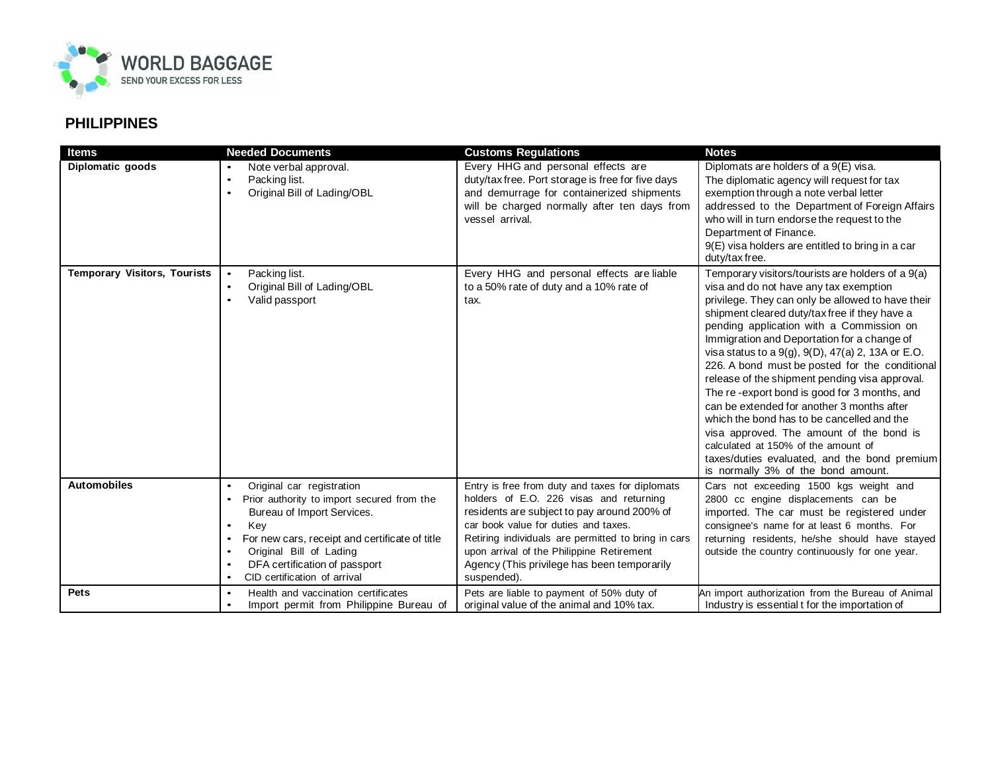

## **PHILIPPINES**

| <b>Items</b>                        | <b>Needed Documents</b>                                                                                                                                                                                                                                                                                             | <b>Customs Regulations</b>                                                                                                                                                                                                                                                                                                                          | <b>Notes</b>                                                                                                                                                                                                                                                                                                                                                                                                                                                                                                                                                                                                                                                                                                                                                                       |
|-------------------------------------|---------------------------------------------------------------------------------------------------------------------------------------------------------------------------------------------------------------------------------------------------------------------------------------------------------------------|-----------------------------------------------------------------------------------------------------------------------------------------------------------------------------------------------------------------------------------------------------------------------------------------------------------------------------------------------------|------------------------------------------------------------------------------------------------------------------------------------------------------------------------------------------------------------------------------------------------------------------------------------------------------------------------------------------------------------------------------------------------------------------------------------------------------------------------------------------------------------------------------------------------------------------------------------------------------------------------------------------------------------------------------------------------------------------------------------------------------------------------------------|
| Diplomatic goods                    | Note verbal approval.<br>Packing list.<br>$\bullet$<br>Original Bill of Lading/OBL<br>$\bullet$                                                                                                                                                                                                                     | Every HHG and personal effects are<br>duty/tax free. Port storage is free for five days<br>and demurrage for containerized shipments<br>will be charged normally after ten days from<br>vessel arrival.                                                                                                                                             | Diplomats are holders of a 9(E) visa.<br>The diplomatic agency will request for tax<br>exemption through a note verbal letter<br>addressed to the Department of Foreign Affairs<br>who will in turn endorse the request to the<br>Department of Finance.<br>9(E) visa holders are entitled to bring in a car<br>duty/tax free.                                                                                                                                                                                                                                                                                                                                                                                                                                                     |
| <b>Temporary Visitors, Tourists</b> | Packing list.<br>$\bullet$<br>Original Bill of Lading/OBL<br>$\bullet$<br>Valid passport<br>$\bullet$                                                                                                                                                                                                               | Every HHG and personal effects are liable<br>to a 50% rate of duty and a 10% rate of<br>tax.                                                                                                                                                                                                                                                        | Temporary visitors/tourists are holders of a 9(a)<br>visa and do not have any tax exemption<br>privilege. They can only be allowed to have their<br>shipment cleared duty/tax free if they have a<br>pending application with a Commission on<br>Immigration and Deportation for a change of<br>visa status to a $9(g)$ , $9(D)$ , $47(a)$ 2, 13A or E.O.<br>226. A bond must be posted for the conditional<br>release of the shipment pending visa approval.<br>The re-export bond is good for 3 months, and<br>can be extended for another 3 months after<br>which the bond has to be cancelled and the<br>visa approved. The amount of the bond is<br>calculated at 150% of the amount of<br>taxes/duties evaluated, and the bond premium<br>is normally 3% of the bond amount. |
| <b>Automobiles</b>                  | Original car registration<br>Prior authority to import secured from the<br>$\bullet$<br>Bureau of Import Services.<br>Key<br>$\bullet$<br>For new cars, receipt and certificate of title<br>$\bullet$<br>Original Bill of Lading<br>DFA certification of passport<br>٠<br>CID certification of arrival<br>$\bullet$ | Entry is free from duty and taxes for diplomats<br>holders of E.O. 226 visas and returning<br>residents are subject to pay around 200% of<br>car book value for duties and taxes.<br>Retiring individuals are permitted to bring in cars<br>upon arrival of the Philippine Retirement<br>Agency (This privilege has been temporarily<br>suspended). | Cars not exceeding 1500 kgs weight and<br>2800 cc engine displacements can be<br>imported. The car must be registered under<br>consignee's name for at least 6 months. For<br>returning residents, he/she should have stayed<br>outside the country continuously for one year.                                                                                                                                                                                                                                                                                                                                                                                                                                                                                                     |
| Pets                                | Health and vaccination certificates<br>$\bullet$<br>Import permit from Philippine Bureau of<br>$\bullet$                                                                                                                                                                                                            | Pets are liable to payment of 50% duty of<br>original value of the animal and 10% tax.                                                                                                                                                                                                                                                              | An import authorization from the Bureau of Animal<br>Industry is essential t for the importation of                                                                                                                                                                                                                                                                                                                                                                                                                                                                                                                                                                                                                                                                                |